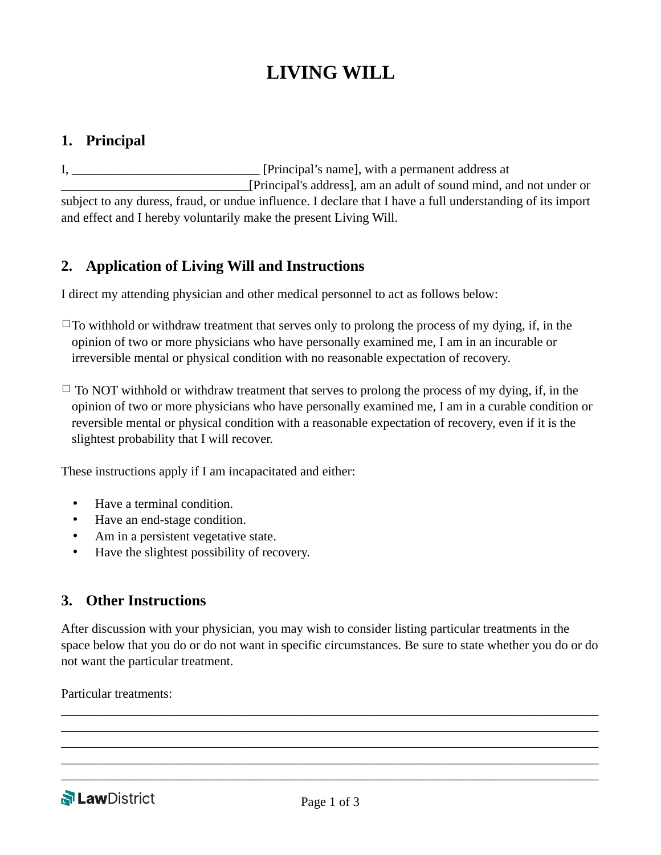# **LIVING WILL**

## **1. Principal**

I, \_\_\_\_\_\_\_\_\_\_\_\_\_\_\_\_\_\_\_\_\_\_\_\_\_\_\_\_\_\_ [Principal's name], with a permanent address at \_\_\_\_\_\_\_\_\_\_\_\_\_\_\_\_\_\_\_\_\_\_\_\_\_\_\_\_\_[Principal's address], am an adult of sound mind, and not under or subject to any duress, fraud, or undue influence. I declare that I have a full understanding of its import and effect and I hereby voluntarily make the present Living Will.

# **2. Application of Living Will and Instructions**

I direct my attending physician and other medical personnel to act as follows below:

 $\Box$ To withhold or withdraw treatment that serves only to prolong the process of my dying, if, in the opinion of two or more physicians who have personally examined me, I am in an incurable or irreversible mental or physical condition with no reasonable expectation of recovery.

 $\Box$  To NOT withhold or withdraw treatment that serves to prolong the process of my dying, if, in the opinion of two or more physicians who have personally examined me, I am in a curable condition or reversible mental or physical condition with a reasonable expectation of recovery, even if it is the slightest probability that I will recover.

These instructions apply if I am incapacitated and either:

- Have a terminal condition.
- Have an end-stage condition.
- Am in a persistent vegetative state.
- Have the slightest possibility of recovery.

#### **3. Other Instructions**

After discussion with your physician, you may wish to consider listing particular treatments in the space below that you do or do not want in specific circumstances. Be sure to state whether you do or do not want the particular treatment.

\_\_\_\_\_\_\_\_\_\_\_\_\_\_\_\_\_\_\_\_\_\_\_\_\_\_\_\_\_\_\_\_\_\_\_\_\_\_\_\_\_\_\_\_\_\_\_\_\_\_\_\_\_\_\_\_\_\_\_\_\_\_\_\_\_\_\_\_\_\_\_\_\_\_\_\_\_\_\_\_\_\_\_ \_\_\_\_\_\_\_\_\_\_\_\_\_\_\_\_\_\_\_\_\_\_\_\_\_\_\_\_\_\_\_\_\_\_\_\_\_\_\_\_\_\_\_\_\_\_\_\_\_\_\_\_\_\_\_\_\_\_\_\_\_\_\_\_\_\_\_\_\_\_\_\_\_\_\_\_\_\_\_\_\_\_\_ \_\_\_\_\_\_\_\_\_\_\_\_\_\_\_\_\_\_\_\_\_\_\_\_\_\_\_\_\_\_\_\_\_\_\_\_\_\_\_\_\_\_\_\_\_\_\_\_\_\_\_\_\_\_\_\_\_\_\_\_\_\_\_\_\_\_\_\_\_\_\_\_\_\_\_\_\_\_\_\_\_\_\_ \_\_\_\_\_\_\_\_\_\_\_\_\_\_\_\_\_\_\_\_\_\_\_\_\_\_\_\_\_\_\_\_\_\_\_\_\_\_\_\_\_\_\_\_\_\_\_\_\_\_\_\_\_\_\_\_\_\_\_\_\_\_\_\_\_\_\_\_\_\_\_\_\_\_\_\_\_\_\_\_\_\_\_ \_\_\_\_\_\_\_\_\_\_\_\_\_\_\_\_\_\_\_\_\_\_\_\_\_\_\_\_\_\_\_\_\_\_\_\_\_\_\_\_\_\_\_\_\_\_\_\_\_\_\_\_\_\_\_\_\_\_\_\_\_\_\_\_\_\_\_\_\_\_\_\_\_\_\_\_\_\_\_\_\_\_\_

Particular treatments: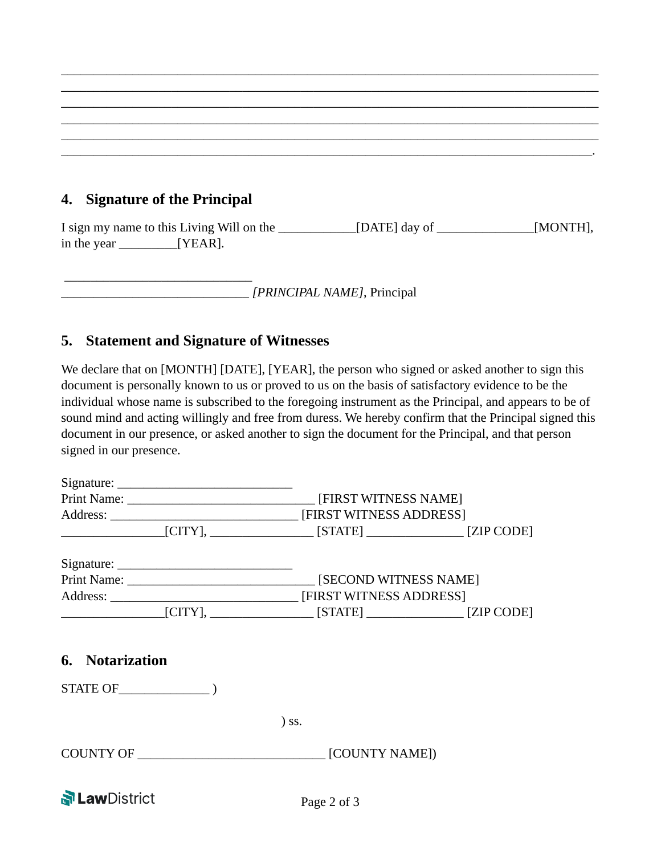# **4. Signature of the Principal**

\_\_\_\_\_\_\_\_\_\_\_\_\_\_\_\_\_\_\_\_\_\_\_\_\_\_\_\_\_

I sign my name to this Living Will on the \_\_\_\_\_\_\_\_\_\_\_\_[DATE] day of \_\_\_\_\_\_\_\_\_\_\_\_\_\_\_[MONTH], in the year **WEAR**].

\_\_\_\_\_\_\_\_\_\_\_\_\_\_\_\_\_\_\_\_\_\_\_\_\_\_\_\_\_\_\_\_\_\_\_\_\_\_\_\_\_\_\_\_\_\_\_\_\_\_\_\_\_\_\_\_\_\_\_\_\_\_\_\_\_\_\_\_\_\_\_\_\_\_\_\_\_\_\_\_\_\_\_ \_\_\_\_\_\_\_\_\_\_\_\_\_\_\_\_\_\_\_\_\_\_\_\_\_\_\_\_\_\_\_\_\_\_\_\_\_\_\_\_\_\_\_\_\_\_\_\_\_\_\_\_\_\_\_\_\_\_\_\_\_\_\_\_\_\_\_\_\_\_\_\_\_\_\_\_\_\_\_\_\_\_\_ \_\_\_\_\_\_\_\_\_\_\_\_\_\_\_\_\_\_\_\_\_\_\_\_\_\_\_\_\_\_\_\_\_\_\_\_\_\_\_\_\_\_\_\_\_\_\_\_\_\_\_\_\_\_\_\_\_\_\_\_\_\_\_\_\_\_\_\_\_\_\_\_\_\_\_\_\_\_\_\_\_\_\_ \_\_\_\_\_\_\_\_\_\_\_\_\_\_\_\_\_\_\_\_\_\_\_\_\_\_\_\_\_\_\_\_\_\_\_\_\_\_\_\_\_\_\_\_\_\_\_\_\_\_\_\_\_\_\_\_\_\_\_\_\_\_\_\_\_\_\_\_\_\_\_\_\_\_\_\_\_\_\_\_\_\_\_ \_\_\_\_\_\_\_\_\_\_\_\_\_\_\_\_\_\_\_\_\_\_\_\_\_\_\_\_\_\_\_\_\_\_\_\_\_\_\_\_\_\_\_\_\_\_\_\_\_\_\_\_\_\_\_\_\_\_\_\_\_\_\_\_\_\_\_\_\_\_\_\_\_\_\_\_\_\_\_\_\_\_\_ \_\_\_\_\_\_\_\_\_\_\_\_\_\_\_\_\_\_\_\_\_\_\_\_\_\_\_\_\_\_\_\_\_\_\_\_\_\_\_\_\_\_\_\_\_\_\_\_\_\_\_\_\_\_\_\_\_\_\_\_\_\_\_\_\_\_\_\_\_\_\_\_\_\_\_\_\_\_\_\_\_\_.

\_\_\_\_\_\_\_\_\_\_\_\_\_\_\_\_\_\_\_\_\_\_\_\_\_\_\_\_\_ *[PRINCIPAL NAME]*, Principal

## **5. Statement and Signature of Witnesses**

We declare that on [MONTH] [DATE], [YEAR], the person who signed or asked another to sign this document is personally known to us or proved to us on the basis of satisfactory evidence to be the individual whose name is subscribed to the foregoing instrument as the Principal, and appears to be of sound mind and acting willingly and free from duress. We hereby confirm that the Principal signed this document in our presence, or asked another to sign the document for the Principal, and that person signed in our presence.

|                                                                     | [FIRST WITNESS NAME]                             |  |
|---------------------------------------------------------------------|--------------------------------------------------|--|
| Address: __________________________________ [FIRST WITNESS ADDRESS] |                                                  |  |
|                                                                     | $[CITY],$ $[SITY]$ $[STATE]$ $[ZIP \text{CODE}]$ |  |
|                                                                     |                                                  |  |
|                                                                     | [SECOND WITNESS NAME]                            |  |
| Address: __________________________________ [FIRST WITNESS ADDRESS] |                                                  |  |
| $[CITY],$ $[STATE]$ $[ZIP CODE]$                                    |                                                  |  |
| 6. Notarization<br>STATE OF (2)                                     |                                                  |  |
|                                                                     | $)$ SS.                                          |  |
| COUNTY OF                                                           | [COUNTY NAME])                                   |  |

**N**LawDistrict